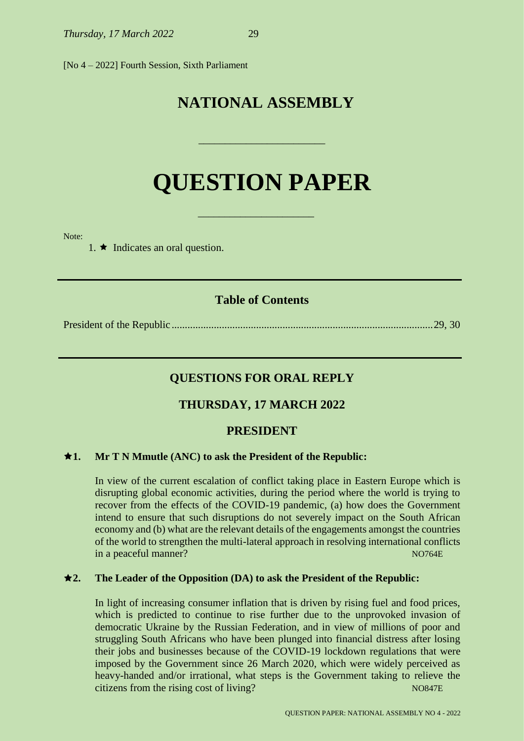[No 4 – 2022] Fourth Session, Sixth Parliament

# **NATIONAL ASSEMBLY**

# **QUESTION PAPER**

\_\_\_\_\_\_\_\_\_\_\_\_\_\_\_\_\_\_\_\_\_\_

\_\_\_\_\_\_\_\_\_\_\_\_\_\_\_\_\_\_\_\_\_\_\_\_

Note:

1.  $\star$  Indicates an oral question.

### **Table of Contents**

President of the Republic ...................................................................................................29, 30

# **QUESTIONS FOR ORAL REPLY**

# **THURSDAY, 17 MARCH 2022**

# **PRESIDENT**

#### **1. Mr T N Mmutle (ANC) to ask the President of the Republic:**

In view of the current escalation of conflict taking place in Eastern Europe which is disrupting global economic activities, during the period where the world is trying to recover from the effects of the COVID-19 pandemic, (a) how does the Government intend to ensure that such disruptions do not severely impact on the South African economy and (b) what are the relevant details of the engagements amongst the countries of the world to strengthen the multi-lateral approach in resolving international conflicts in a peaceful manner? Note a set of the set of the set of the set of the set of the set of the set of the set of the set of the set of the set of the set of the set of the set of the set of the set of the set of the set of

#### **2. The Leader of the Opposition (DA) to ask the President of the Republic:**

In light of increasing consumer inflation that is driven by rising fuel and food prices, which is predicted to continue to rise further due to the unprovoked invasion of democratic Ukraine by the Russian Federation, and in view of millions of poor and struggling South Africans who have been plunged into financial distress after losing their jobs and businesses because of the COVID-19 lockdown regulations that were imposed by the Government since 26 March 2020, which were widely perceived as heavy-handed and/or irrational, what steps is the Government taking to relieve the citizens from the rising cost of living? NO847E